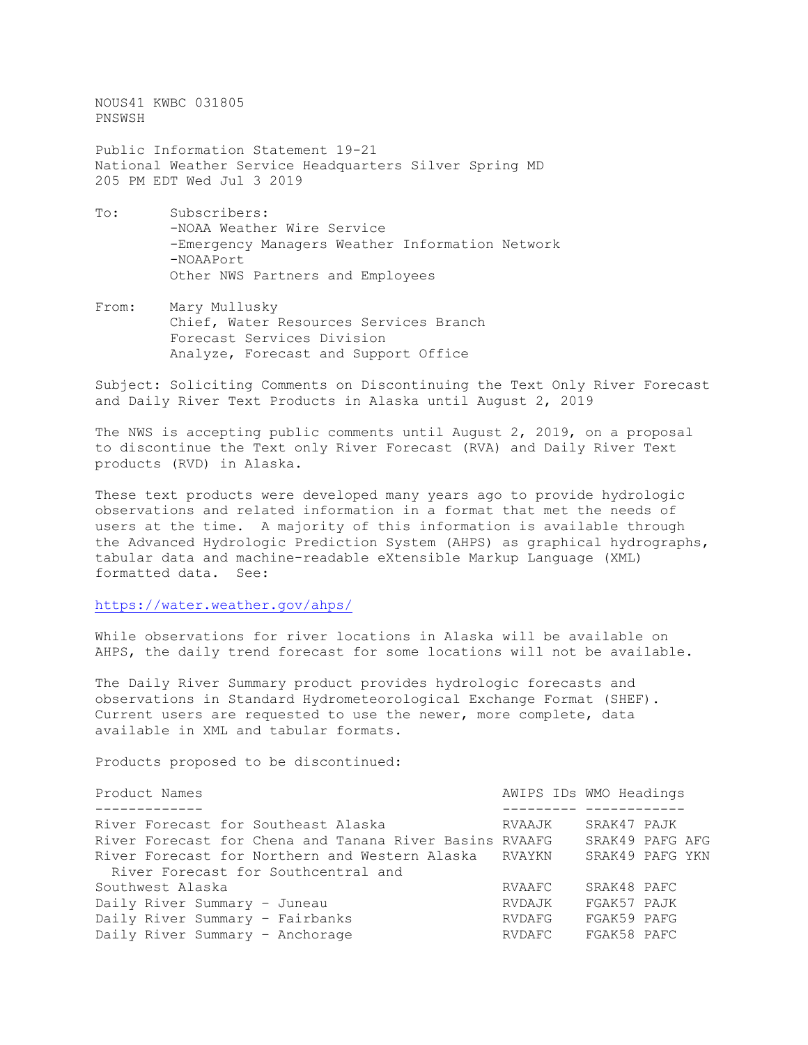NOUS41 KWBC 031805 PNSWSH Public Information Statement 19-21 National Weather Service Headquarters Silver Spring MD 205 PM EDT Wed Jul 3 2019 To: Subscribers:

- -NOAA Weather Wire Service -Emergency Managers Weather Information Network -NOAAPort Other NWS Partners and Employees
- From: Mary Mullusky Chief, Water Resources Services Branch Forecast Services Division Analyze, Forecast and Support Office

Subject: Soliciting Comments on Discontinuing the Text Only River Forecast and Daily River Text Products in Alaska until August 2, 2019

The NWS is accepting public comments until August 2, 2019, on a proposal to discontinue the Text only River Forecast (RVA) and Daily River Text products (RVD) in Alaska.

These text products were developed many years ago to provide hydrologic observations and related information in a format that met the needs of users at the time. A majority of this information is available through the Advanced Hydrologic Prediction System (AHPS) as graphical hydrographs, tabular data and machine-readable eXtensible Markup Language (XML) formatted data. See:

<https://water.weather.gov/ahps/>

While observations for river locations in Alaska will be available on AHPS, the daily trend forecast for some locations will not be available.

The Daily River Summary product provides hydrologic forecasts and observations in Standard Hydrometeorological Exchange Format (SHEF). Current users are requested to use the newer, more complete, data available in XML and tabular formats.

Products proposed to be discontinued:

| Product Names                                           |        | AWIPS IDs WMO Headings |
|---------------------------------------------------------|--------|------------------------|
|                                                         |        |                        |
| River Forecast for Southeast Alaska                     | RVAAJK | SRAK47 PAJK            |
| River Forecast for Chena and Tanana River Basins RVAAFG |        | SRAK49 PAFG AFG        |
| River Forecast for Northern and Western Alaska RVAYKN   |        | SRAK49 PAFG YKN        |
| River Forecast for Southcentral and                     |        |                        |
| Southwest Alaska                                        | RVAAFC | SRAK48 PAFC            |
| Daily River Summary - Juneau                            | RVDAJK | FGAK57 PAJK            |
| Daily River Summary - Fairbanks                         | RVDAFG | FGAK59 PAFG            |
| Daily River Summary - Anchorage                         | RVDAFC | FGAK58 PAFC            |